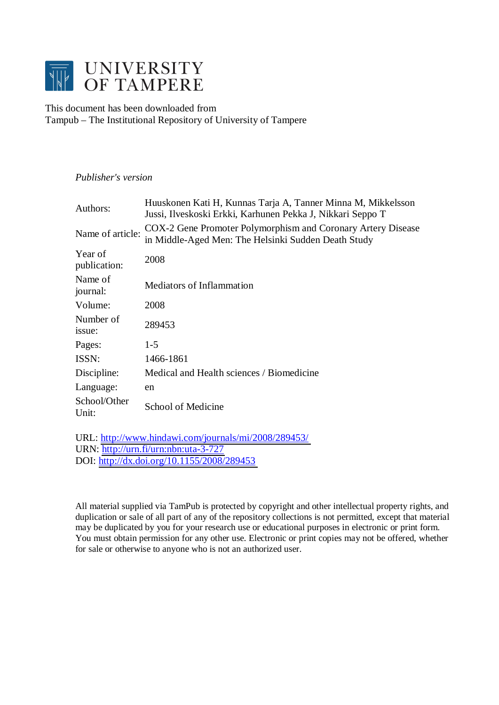

This document has been downloaded from Tampub – The Institutional Repository of University of Tampere

# *Publisher's version*

| Authors:                | Huuskonen Kati H, Kunnas Tarja A, Tanner Minna M, Mikkelsson<br>Jussi, Ilveskoski Erkki, Karhunen Pekka J, Nikkari Seppo T |  |  |  |
|-------------------------|----------------------------------------------------------------------------------------------------------------------------|--|--|--|
| Name of article:        | COX-2 Gene Promoter Polymorphism and Coronary Artery Disease<br>in Middle-Aged Men: The Helsinki Sudden Death Study        |  |  |  |
| Year of<br>publication: | 2008                                                                                                                       |  |  |  |
| Name of<br>journal:     | Mediators of Inflammation                                                                                                  |  |  |  |
| Volume:                 | 2008                                                                                                                       |  |  |  |
| Number of<br>issue:     | 289453                                                                                                                     |  |  |  |
| Pages:                  | $1-5$                                                                                                                      |  |  |  |
| ISSN:                   | 1466-1861                                                                                                                  |  |  |  |
| Discipline:             | Medical and Health sciences / Biomedicine                                                                                  |  |  |  |
| Language:               | en                                                                                                                         |  |  |  |
| School/Other<br>Unit:   | School of Medicine                                                                                                         |  |  |  |
|                         |                                                                                                                            |  |  |  |

URL: <http://www.hindawi.com/journals/mi/2008/289453/> URN: <http://urn.fi/urn:nbn:uta-3-727> DOI: <http://dx.doi.org/10.1155/2008/289453>

All material supplied via TamPub is protected by copyright and other intellectual property rights, and duplication or sale of all part of any of the repository collections is not permitted, except that material may be duplicated by you for your research use or educational purposes in electronic or print form. You must obtain permission for any other use. Electronic or print copies may not be offered, whether for sale or otherwise to anyone who is not an authorized user.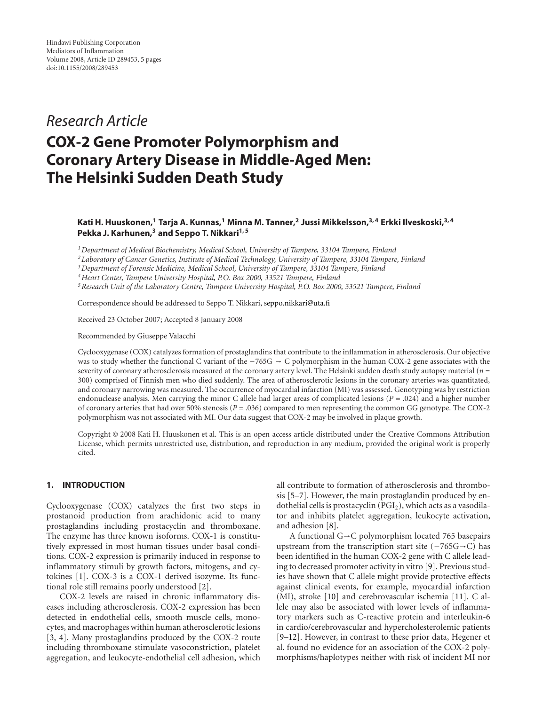# *Research Article*

# **COX-2 Gene Promoter Polymorphism and Coronary Artery Disease in Middle-Aged Men: The Helsinki Sudden Death Study**

# **Kati H. Huuskonen,1 Tarja A. Kunnas,1 Minna M. Tanner,2 Jussi Mikkelsson,3, 4 Erkki Ilveskoski,3, 4** Pekka J. Karhunen,<sup>3</sup> and Seppo T. Nikkari<sup>1,5</sup>

*1Department of Medical Biochemistry, Medical School, University of Tampere, 33104 Tampere, Finland*

*<sup>2</sup> Laboratory of Cancer Genetics, Institute of Medical Technology, University of Tampere, 33104 Tampere, Finland*

*3Department of Forensic Medicine, Medical School, University of Tampere, 33104 Tampere, Finland*

*4Heart Center, Tampere University Hospital, P.O. Box 2000, 33521 Tampere, Finland*

*5Research Unit of the Laboratory Centre, Tampere University Hospital, P.O. Box 2000, 33521 Tampere, Finland*

Correspondence should be addressed to Seppo T. Nikkari, [seppo.nikkari@uta.fi](mailto:seppo.nikkari@uta.fi)

Received 23 October 2007; Accepted 8 January 2008

Recommended by Giuseppe Valacchi

Cyclooxygenase (COX) catalyzes formation of prostaglandins that contribute to the inflammation in atherosclerosis. Our objective was to study whether the functional C variant of the −765G → C polymorphism in the human COX-2 gene associates with the severity of coronary atherosclerosis measured at the coronary artery level. The Helsinki sudden death study autopsy material (*n* = 300) comprised of Finnish men who died suddenly. The area of atherosclerotic lesions in the coronary arteries was quantitated, and coronary narrowing was measured. The occurrence of myocardial infarction (MI) was assessed. Genotyping was by restriction endonuclease analysis. Men carrying the minor C allele had larger areas of complicated lesions (*P* = .024) and a higher number of coronary arteries that had over 50% stenosis ( $P = .036$ ) compared to men representing the common GG genotype. The COX-2 polymorphism was not associated with MI. Our data suggest that COX-2 may be involved in plaque growth.

Copyright © 2008 Kati H. Huuskonen et al. This is an open access article distributed under the Creative Commons Attribution License, which permits unrestricted use, distribution, and reproduction in any medium, provided the original work is properly cited.

# **1. INTRODUCTION**

Cyclooxygenase (COX) catalyzes the first two steps in prostanoid production from arachidonic acid to many prostaglandins including prostacyclin and thromboxane. The enzyme has three known isoforms. COX-1 is constitutively expressed in most human tissues under basal conditions. COX-2 expression is primarily induced in response to inflammatory stimuli by growth factors, mitogens, and cytokines [\[1](#page-5-1)]. COX-3 is a COX-1 derived isozyme. Its functional role still remains poorly understood [\[2](#page-5-2)].

COX-2 levels are raised in chronic inflammatory diseases including atherosclerosis. COX-2 expression has been detected in endothelial cells, smooth muscle cells, monocytes, and macrophages within human atherosclerotic lesions [\[3,](#page-5-3) [4](#page-5-4)]. Many prostaglandins produced by the COX-2 route including thromboxane stimulate vasoconstriction, platelet aggregation, and leukocyte-endothelial cell adhesion, which

all contribute to formation of atherosclerosis and thrombosis [\[5](#page-5-5)[–7](#page-5-6)]. However, the main prostaglandin produced by endothelial cells is prostacyclin  $(PGI<sub>2</sub>)$ , which acts as a vasodilator and inhibits platelet aggregation, leukocyte activation, and adhesion [\[8](#page-5-7)].

A functional G→C polymorphism located 765 basepairs upstream from the transcription start site (−765G→C) has been identified in the human COX-2 gene with C allele leading to decreased promoter activity in vitro [\[9](#page-5-8)]. Previous studies have shown that C allele might provide protective effects against clinical events, for example, myocardial infarction (MI), stroke [\[10\]](#page-5-9) and cerebrovascular ischemia [\[11\]](#page-5-10). C allele may also be associated with lower levels of inflammatory markers such as C-reactive protein and interleukin-6 in cardio/cerebrovascular and hypercholesterolemic patients [\[9](#page-5-8)[–12](#page-5-11)]. However, in contrast to these prior data, Hegener et al. found no evidence for an association of the COX-2 polymorphisms/haplotypes neither with risk of incident MI nor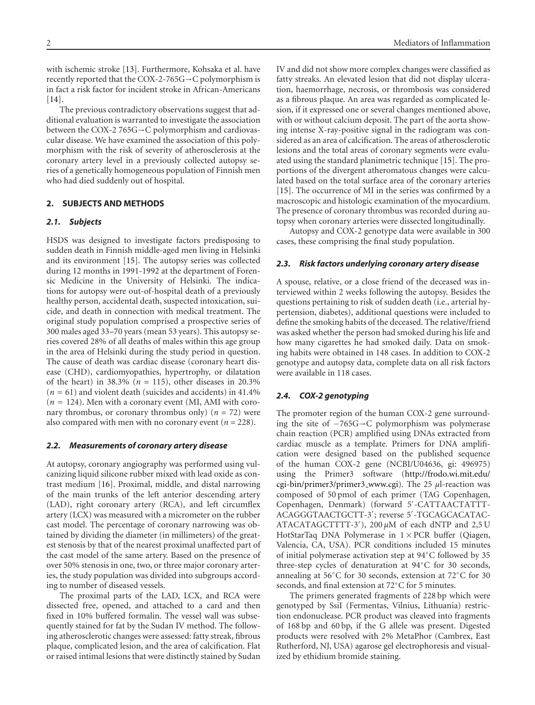with ischemic stroke [\[13](#page-5-12)]. Furthermore, Kohsaka et al. have recently reported that the COX-2-765G→C polymorphism is in fact a risk factor for incident stroke in African-Americans [\[14](#page-5-13)].

The previous contradictory observations suggest that additional evaluation is warranted to investigate the association between the COX-2 765G→C polymorphism and cardiovascular disease. We have examined the association of this polymorphism with the risk of severity of atherosclerosis at the coronary artery level in a previously collected autopsy series of a genetically homogeneous population of Finnish men who had died suddenly out of hospital.

#### **2. SUBJECTS AND METHODS**

#### *2.1. Subjects*

HSDS was designed to investigate factors predisposing to sudden death in Finnish middle-aged men living in Helsinki and its environment [\[15](#page-5-14)]. The autopsy series was collected during 12 months in 1991-1992 at the department of Forensic Medicine in the University of Helsinki. The indications for autopsy were out-of-hospital death of a previously healthy person, accidental death, suspected intoxication, suicide, and death in connection with medical treatment. The original study population comprised a prospective series of 300 males aged 33–70 years (mean 53 years). This autopsy series covered 28% of all deaths of males within this age group in the area of Helsinki during the study period in question. The cause of death was cardiac disease (coronary heart disease (CHD), cardiomyopathies, hypertrophy, or dilatation of the heart) in  $38.3\%$  ( $n = 115$ ), other diseases in  $20.3\%$  $(n = 61)$  and violent death (suicides and accidents) in 41.4%  $(n = 124)$ . Men with a coronary event (MI, AMI with coronary thrombus, or coronary thrombus only)  $(n = 72)$  were also compared with men with no coronary event  $(n = 228)$ .

#### *2.2. Measurements of coronary artery disease*

At autopsy, coronary angiography was performed using vulcanizing liquid silicone rubber mixed with lead oxide as contrast medium [\[16](#page-5-15)]. Proximal, middle, and distal narrowing of the main trunks of the left anterior descending artery (LAD), right coronary artery (RCA), and left circumflex artery (LCX) was measured with a micrometer on the rubber cast model. The percentage of coronary narrowing was obtained by dividing the diameter (in millimeters) of the greatest stenosis by that of the nearest proximal unaffected part of the cast model of the same artery. Based on the presence of over 50% stenosis in one, two, or three major coronary arteries, the study population was divided into subgroups according to number of diseased vessels.

The proximal parts of the LAD, LCX, and RCA were dissected free, opened, and attached to a card and then fixed in 10% buffered formalin. The vessel wall was subsequently stained for fat by the Sudan IV method. The following atherosclerotic changes were assessed: fatty streak, fibrous plaque, complicated lesion, and the area of calcification. Flat or raised intimal lesions that were distinctly stained by Sudan

IV and did not show more complex changes were classified as fatty streaks. An elevated lesion that did not display ulceration, haemorrhage, necrosis, or thrombosis was considered as a fibrous plaque. An area was regarded as complicated lesion, if it expressed one or several changes mentioned above, with or without calcium deposit. The part of the aorta showing intense X-ray-positive signal in the radiogram was considered as an area of calcification. The areas of atherosclerotic lesions and the total areas of coronary segments were evaluated using the standard planimetric technique [\[15\]](#page-5-14). The proportions of the divergent atheromatous changes were calculated based on the total surface area of the coronary arteries [\[15](#page-5-14)]. The occurrence of MI in the series was confirmed by a macroscopic and histologic examination of the myocardium. The presence of coronary thrombus was recorded during autopsy when coronary arteries were dissected longitudinally.

Autopsy and COX-2 genotype data were available in 300 cases, these comprising the final study population.

#### *2.3. Risk factors underlying coronary artery disease*

A spouse, relative, or a close friend of the deceased was interviewed within 2 weeks following the autopsy. Besides the questions pertaining to risk of sudden death (i.e., arterial hypertension, diabetes), additional questions were included to define the smoking habits of the deceased. The relative/friend was asked whether the person had smoked during his life and how many cigarettes he had smoked daily. Data on smoking habits were obtained in 148 cases. In addition to COX-2 genotype and autopsy data, complete data on all risk factors were available in 118 cases.

## *2.4. COX-2 genotyping*

The promoter region of the human COX-2 gene surrounding the site of −765G→C polymorphism was polymerase chain reaction (PCR) amplified using DNAs extracted from cardiac muscle as a template. Primers for DNA amplification were designed based on the published sequence of the human COX-2 gene (NCBI/U04636, gi: 496975) using the Primer3 software [\(http://frodo.wi.mit.edu/](http://frodo.wi.mit.edu/cgi-bin/primer3/primer3_www.cgi) [cgi-bin/primer3/primer3](http://frodo.wi.mit.edu/cgi-bin/primer3/primer3_www.cgi) www.cgi). The 25 *μ*l-reaction was composed of 50 pmol of each primer (TAG Copenhagen, Copenhagen, Denmark) (forward 5 -CATTAACTATTT-ACAGGGTAACTGCTT-3 ; reverse 5 -TGCAGCACATAC-ATACATAGCTTTT-3 ), 200 *μ*M of each dNTP and 2,5 U HotStarTaq DNA Polymerase in  $1 \times PCR$  buffer (Qiagen, Valencia, CA, USA). PCR conditions included 15 minutes of initial polymerase activation step at 94◦C followed by 35 three-step cycles of denaturation at 94◦C for 30 seconds, annealing at 56◦C for 30 seconds, extension at 72◦C for 30 seconds, and final extension at 72◦C for 5 minutes.

The primers generated fragments of 228 bp which were genotyped by SsiI (Fermentas, Vilnius, Lithuania) restriction endonuclease. PCR product was cleaved into fragments of 168 bp and 60 bp, if the G allele was present. Digested products were resolved with 2% MetaPhor (Cambrex, East Rutherford, NJ, USA) agarose gel electrophoresis and visualized by ethidium bromide staining.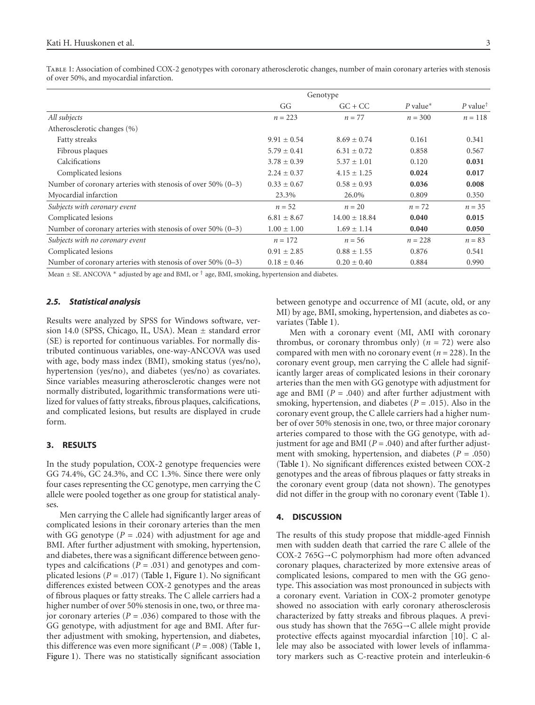|                                                                | Genotype        |                   |            |                                         |
|----------------------------------------------------------------|-----------------|-------------------|------------|-----------------------------------------|
|                                                                | GG              | $GC + CC$         | $P$ value* | P value <sup><math>\dagger</math></sup> |
| All subjects                                                   | $n = 223$       | $n = 77$          | $n = 300$  | $n = 118$                               |
| Atherosclerotic changes (%)                                    |                 |                   |            |                                         |
| <b>Fatty streaks</b>                                           | $9.91 \pm 0.54$ | $8.69 \pm 0.74$   | 0.161      | 0.341                                   |
| Fibrous plaques                                                | $5.79 \pm 0.41$ | $6.31 \pm 0.72$   | 0.858      | 0.567                                   |
| Calcifications                                                 | $3.78 \pm 0.39$ | $5.37 \pm 1.01$   | 0.120      | 0.031                                   |
| Complicated lesions                                            | $2.24 \pm 0.37$ | $4.15 \pm 1.25$   | 0.024      | 0.017                                   |
| Number of coronary arteries with stenosis of over $50\%$ (0–3) | $0.33 \pm 0.67$ | $0.58 \pm 0.93$   | 0.036      | 0.008                                   |
| Myocardial infarction                                          | 23.3%           | 26.0%             | 0.809      | 0.350                                   |
| Subjects with coronary event                                   | $n = 52$        | $n = 20$          | $n = 72$   | $n = 35$                                |
| Complicated lesions                                            | $6.81 \pm 8.67$ | $14.00 \pm 18.84$ | 0.040      | 0.015                                   |
| Number of coronary arteries with stenosis of over $50\%$ (0–3) | $1.00 \pm 1.00$ | $1.69 \pm 1.14$   | 0.040      | 0.050                                   |
| Subjects with no coronary event                                | $n = 172$       | $n = 56$          | $n = 228$  | $n = 83$                                |
| Complicated lesions                                            | $0.91 \pm 2.85$ | $0.88 \pm 1.55$   | 0.876      | 0.541                                   |
| Number of coronary arteries with stenosis of over $50\%$ (0–3) | $0.18 \pm 0.46$ | $0.20 \pm 0.40$   | 0.884      | 0.990                                   |

<span id="page-3-0"></span>Table 1: Association of combined COX-2 genotypes with coronary atherosclerotic changes, number of main coronary arteries with stenosis of over 50%, and myocardial infarction.

Mean  $\pm$  SE. ANCOVA  $*$  adjusted by age and BMI, or  $\dagger$  age, BMI, smoking, hypertension and diabetes.

#### *2.5. Statistical analysis*

Results were analyzed by SPSS for Windows software, version 14.0 (SPSS, Chicago, IL, USA). Mean  $\pm$  standard error (SE) is reported for continuous variables. For normally distributed continuous variables, one-way-ANCOVA was used with age, body mass index (BMI), smoking status (yes/no), hypertension (yes/no), and diabetes (yes/no) as covariates. Since variables measuring atherosclerotic changes were not normally distributed, logarithmic transformations were utilized for values of fatty streaks, fibrous plaques, calcifications, and complicated lesions, but results are displayed in crude form.

### **3. RESULTS**

In the study population, COX-2 genotype frequencies were GG 74.4%, GC 24.3%, and CC 1.3%. Since there were only four cases representing the CC genotype, men carrying the C allele were pooled together as one group for statistical analyses.

Men carrying the C allele had significantly larger areas of complicated lesions in their coronary arteries than the men with GG genotype  $(P = .024)$  with adjustment for age and BMI. After further adjustment with smoking, hypertension, and diabetes, there was a significant difference between genotypes and calcifications  $(P = .031)$  and genotypes and complicated lesions  $(P = .017)$  [\(Table 1,](#page-3-0) [Figure 1\)](#page-4-0). No significant differences existed between COX-2 genotypes and the areas of fibrous plaques or fatty streaks. The C allele carriers had a higher number of over 50% stenosis in one, two, or three major coronary arteries ( $P = .036$ ) compared to those with the GG genotype, with adjustment for age and BMI. After further adjustment with smoking, hypertension, and diabetes, this difference was even more significant  $(P = .008)$  [\(Table 1,](#page-3-0) [Figure 1\)](#page-4-0). There was no statistically significant association

between genotype and occurrence of MI (acute, old, or any MI) by age, BMI, smoking, hypertension, and diabetes as covariates [\(Table 1\)](#page-3-0).

Men with a coronary event (MI, AMI with coronary thrombus, or coronary thrombus only)  $(n = 72)$  were also compared with men with no coronary event (*n* = 228). In the coronary event group, men carrying the C allele had significantly larger areas of complicated lesions in their coronary arteries than the men with GG genotype with adjustment for age and BMI  $(P = .040)$  and after further adjustment with smoking, hypertension, and diabetes (*P* = .015). Also in the coronary event group, the C allele carriers had a higher number of over 50% stenosis in one, two, or three major coronary arteries compared to those with the GG genotype, with adjustment for age and BMI ( $P = .040$ ) and after further adjustment with smoking, hypertension, and diabetes  $(P = .050)$ [\(Table 1\)](#page-3-0). No significant differences existed between COX-2 genotypes and the areas of fibrous plaques or fatty streaks in the coronary event group (data not shown). The genotypes did not differ in the group with no coronary event [\(Table 1\)](#page-3-0).

#### **4. DISCUSSION**

The results of this study propose that middle-aged Finnish men with sudden death that carried the rare C allele of the COX-2 765G→C polymorphism had more often advanced coronary plaques, characterized by more extensive areas of complicated lesions, compared to men with the GG genotype. This association was most pronounced in subjects with a coronary event. Variation in COX-2 promoter genotype showed no association with early coronary atherosclerosis characterized by fatty streaks and fibrous plaques. A previous study has shown that the 765G→C allele might provide protective effects against myocardial infarction [\[10](#page-5-9)]. C allele may also be associated with lower levels of inflammatory markers such as C-reactive protein and interleukin-6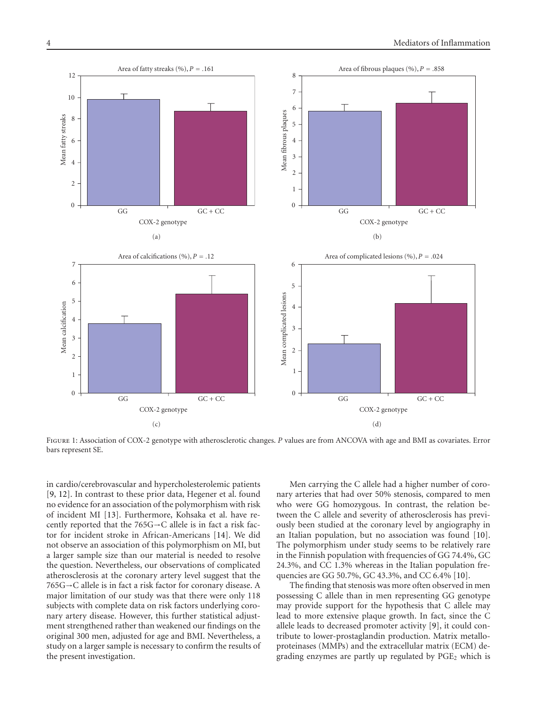

<span id="page-4-0"></span>Figure 1: Association of COX-2 genotype with atherosclerotic changes. *P* values are from ANCOVA with age and BMI as covariates. Error bars represent SE.

in cardio/cerebrovascular and hypercholesterolemic patients [\[9,](#page-5-8) [12](#page-5-11)]. In contrast to these prior data, Hegener et al. found no evidence for an association of the polymorphism with risk of incident MI [\[13\]](#page-5-12). Furthermore, Kohsaka et al. have recently reported that the 765G→C allele is in fact a risk factor for incident stroke in African-Americans [\[14\]](#page-5-13). We did not observe an association of this polymorphism on MI, but a larger sample size than our material is needed to resolve the question. Nevertheless, our observations of complicated atherosclerosis at the coronary artery level suggest that the 765G→C allele is in fact a risk factor for coronary disease. A major limitation of our study was that there were only 118 subjects with complete data on risk factors underlying coronary artery disease. However, this further statistical adjustment strengthened rather than weakened our findings on the original 300 men, adjusted for age and BMI. Nevertheless, a study on a larger sample is necessary to confirm the results of the present investigation.

Men carrying the C allele had a higher number of coronary arteries that had over 50% stenosis, compared to men who were GG homozygous. In contrast, the relation between the C allele and severity of atherosclerosis has previously been studied at the coronary level by angiography in an Italian population, but no association was found [\[10](#page-5-9)]. The polymorphism under study seems to be relatively rare in the Finnish population with frequencies of GG 74.4%, GC 24.3%, and CC 1.3% whereas in the Italian population frequencies are GG 50.7%, GC 43.3%, and CC 6.4% [\[10\]](#page-5-9).

The finding that stenosis was more often observed in men possessing C allele than in men representing GG genotype may provide support for the hypothesis that C allele may lead to more extensive plaque growth. In fact, since the C allele leads to decreased promoter activity [\[9\]](#page-5-8), it could contribute to lower-prostaglandin production. Matrix metalloproteinases (MMPs) and the extracellular matrix (ECM) degrading enzymes are partly up regulated by  $PGE_2$  which is